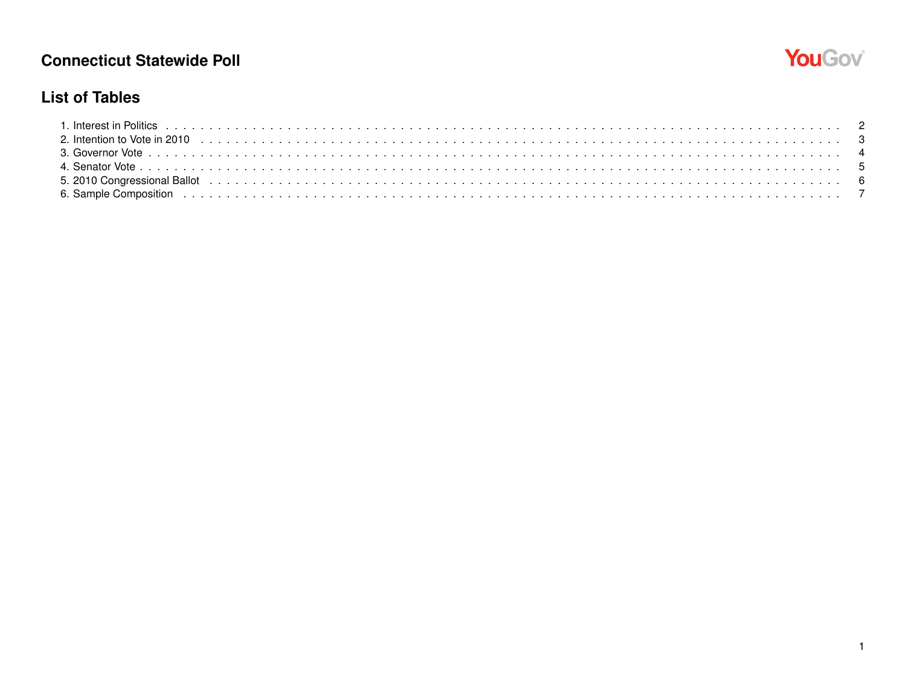

#### **List of Tables**

| 5. 2010 Congressional Ballot (also conserved also conserved also conserved also conserved also congressional Ballot (also conserved also conserved also conserved also conserved also conserved also conserved also conserved |  |
|-------------------------------------------------------------------------------------------------------------------------------------------------------------------------------------------------------------------------------|--|
|                                                                                                                                                                                                                               |  |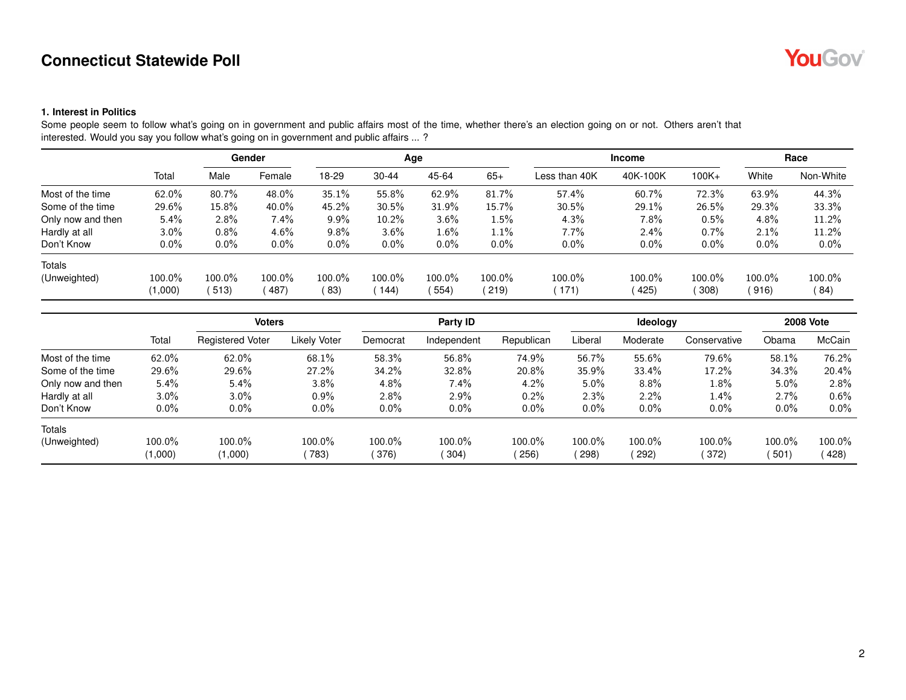

#### **1. Interest in Politics**

Some people seem to follow what's going on in government and public affairs most of the time, whether there's an election going on or not. Others aren't that interested. Would you say you follow what's going on in government and public affairs ... ?

|                   |         |         | Gender   |         |           | Age     |           |               | <b>Income</b> |          |         | Race      |
|-------------------|---------|---------|----------|---------|-----------|---------|-----------|---------------|---------------|----------|---------|-----------|
|                   | Total   | Male    | Female   | 18-29   | $30 - 44$ | 45-64   | $65+$     | Less than 40K | 40K-100K      | $100K +$ | White   | Non-White |
| Most of the time  | 62.0%   | 80.7%   | 48.0%    | 35.1%   | 55.8%     | 62.9%   | 81.7%     | 57.4%         | 60.7%         | 72.3%    | 63.9%   | 44.3%     |
| Some of the time  | 29.6%   | 15.8%   | $40.0\%$ | 45.2%   | 30.5%     | 31.9%   | 15.7%     | 30.5%         | 29.1%         | 26.5%    | 29.3%   | 33.3%     |
| Only now and then | 5.4%    | $2.8\%$ | 7.4%     | $9.9\%$ | 10.2%     | $3.6\%$ | $1.5\%$   | 4.3%          | $7.8\%$       | 0.5%     | 4.8%    | 11.2%     |
| Hardly at all     | $3.0\%$ | $0.8\%$ | $4.6\%$  | $9.8\%$ | $3.6\%$   | $1.6\%$ | 1.1%      | 7.7%          | $2.4\%$       | $0.7\%$  | 2.1%    | 11.2%     |
| Don't Know        | 0.0%    | $0.0\%$ | $0.0\%$  | $0.0\%$ | $0.0\%$   | $0.0\%$ | $0.0\%$   | $0.0\%$       | $0.0\%$       | $0.0\%$  | $0.0\%$ | $0.0\%$   |
| <b>Totals</b>     |         |         |          |         |           |         |           |               |               |          |         |           |
| (Unweighted)      | 100.0%  | 100.0%  | 100.0%   | 100.0%  | 100.0%    | 100.0%  | $100.0\%$ | 100.0%        | 100.0%        | 100.0%   | 100.0%  | 100.0%    |
|                   | (1,000) | 513)    | 487)     | (83)    | (144)     | 554)    | (219)     | 171)          | (425)         | 308)     | (916)   | (84)      |

|                   |          | <b>Voters</b>           |                     |          | Party ID    |            |         | Ideology |              |         | <b>2008 Vote</b> |
|-------------------|----------|-------------------------|---------------------|----------|-------------|------------|---------|----------|--------------|---------|------------------|
|                   | Total    | <b>Registered Voter</b> | <b>Likely Voter</b> | Democrat | Independent | Republican | Liberal | Moderate | Conservative | Obama   | McCain           |
| Most of the time  | 62.0%    | $62.0\%$                | 68.1%               | 58.3%    | 56.8%       | 74.9%      | 56.7%   | 55.6%    | 79.6%        | 58.1%   | 76.2%            |
| Some of the time  | $29.6\%$ | 29.6%                   | 27.2%               | 34.2%    | 32.8%       | 20.8%      | 35.9%   | 33.4%    | 17.2%        | 34.3%   | 20.4%            |
| Only now and then | $5.4\%$  | $5.4\%$                 | $3.8\%$             | 4.8%     | $7.4\%$     | 4.2%       | $5.0\%$ | 8.8%     | 1.8%         | 5.0%    | 2.8%             |
| Hardly at all     | $3.0\%$  | $3.0\%$                 | $0.9\%$             | 2.8%     | $2.9\%$     | 0.2%       | $2.3\%$ | 2.2%     | $1.4\%$      | 2.7%    | $0.6\%$          |
| Don't Know        | $0.0\%$  | $0.0\%$                 | $0.0\%$             | $0.0\%$  | $0.0\%$     | $0.0\%$    | $0.0\%$ | $0.0\%$  | $0.0\%$      | $0.0\%$ | $0.0\%$          |
| <b>Totals</b>     |          |                         |                     |          |             |            |         |          |              |         |                  |
| (Unweighted)      | 100.0%   | 100.0%                  | 100.0%              | 100.0%   | $100.0\%$   | 100.0%     | 100.0%  | 100.0%   | 100.0%       | 100.0%  | $100.0\%$        |
|                   | (1,000)  | (1,000)                 | 783)                | 376)     | (304)       | 256)       | (298)   | 292)     | (372)        | 501     | 428)             |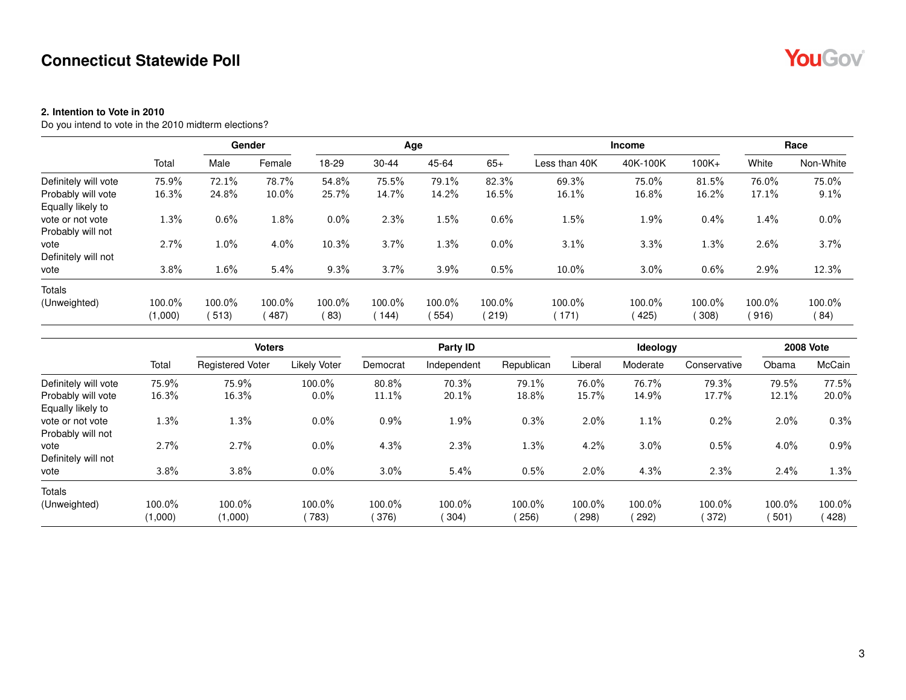#### **2. Intention to Vote in 2010**

Do you intend to vote in the 2010 midterm elections?

|                      |         |         | Gender  |         |           | Age     |         |               | <b>Income</b> |          |         | Race      |
|----------------------|---------|---------|---------|---------|-----------|---------|---------|---------------|---------------|----------|---------|-----------|
|                      | Total   | Male    | Female  | 18-29   | $30 - 44$ | 45-64   | $65+$   | Less than 40K | 40K-100K      | $100K +$ | White   | Non-White |
| Definitely will vote | 75.9%   | 72.1%   | 78.7%   | 54.8%   | 75.5%     | 79.1%   | 82.3%   | 69.3%         | 75.0%         | 81.5%    | 76.0%   | 75.0%     |
| Probably will vote   | 16.3%   | 24.8%   | 10.0%   | 25.7%   | 14.7%     | 14.2%   | 16.5%   | 16.1%         | 16.8%         | 16.2%    | 17.1%   | 9.1%      |
| Equally likely to    |         |         |         |         |           |         |         |               |               |          |         |           |
| vote or not vote     | 1.3%    | $0.6\%$ | $1.8\%$ | $0.0\%$ | 2.3%      | $1.5\%$ | 0.6%    | $1.5\%$       | 1.9%          | 0.4%     | 1.4%    | $0.0\%$   |
| Probably will not    |         |         |         |         |           |         |         |               |               |          |         |           |
| vote                 | 2.7%    | $1.0\%$ | 4.0%    | 10.3%   | 3.7%      | $1.3\%$ | $0.0\%$ | 3.1%          | 3.3%          | 1.3%     | 2.6%    | 3.7%      |
| Definitely will not  |         |         |         |         |           |         |         |               |               |          |         |           |
| vote                 | 3.8%    | $1.6\%$ | 5.4%    | 9.3%    | 3.7%      | 3.9%    | 0.5%    | $10.0\%$      | 3.0%          | 0.6%     | $2.9\%$ | 12.3%     |
| Totals               |         |         |         |         |           |         |         |               |               |          |         |           |
| (Unweighted)         | 100.0%  | 100.0%  | 100.0%  | 100.0%  | 100.0%    | 100.0%  | 100.0%  | 100.0%        | 100.0%        | 100.0%   | 100.0%  | 100.0%    |
|                      | (1,000) | 513)    | 487)    | (83)    | 144)      | 554)    | (219)   | 171)          | 425)          | 308      | (916)   | (84)      |

|                      |         | <b>Voters</b>           |                     |          | Party ID    |            | Ideology |          |              | <b>2008 Vote</b> |         |
|----------------------|---------|-------------------------|---------------------|----------|-------------|------------|----------|----------|--------------|------------------|---------|
|                      | Total   | <b>Registered Voter</b> | <b>Likely Voter</b> | Democrat | Independent | Republican | Liberal  | Moderate | Conservative | Obama            | McCain  |
| Definitely will vote | 75.9%   | 75.9%                   | 100.0%              | 80.8%    | 70.3%       | 79.1%      | 76.0%    | 76.7%    | 79.3%        | 79.5%            | 77.5%   |
| Probably will vote   | 16.3%   | 16.3%                   | $0.0\%$             | 11.1%    | 20.1%       | 18.8%      | 15.7%    | 14.9%    | 17.7%        | 12.1%            | 20.0%   |
| Equally likely to    |         |                         |                     |          |             |            |          |          |              |                  |         |
| vote or not vote     | 1.3%    | 1.3%                    | $0.0\%$             | 0.9%     | 1.9%        | 0.3%       | $2.0\%$  | 1.1%     | 0.2%         | $2.0\%$          | 0.3%    |
| Probably will not    |         |                         |                     |          |             |            |          |          |              |                  |         |
| vote                 | 2.7%    | 2.7%                    | $0.0\%$             | 4.3%     | 2.3%        | 1.3%       | 4.2%     | 3.0%     | 0.5%         | $4.0\%$          | $0.9\%$ |
| Definitely will not  |         |                         |                     |          |             |            |          |          |              |                  |         |
| vote                 | 3.8%    | 3.8%                    | $0.0\%$             | 3.0%     | 5.4%        | 0.5%       | $2.0\%$  | 4.3%     | 2.3%         | 2.4%             | 1.3%    |
| <b>Totals</b>        |         |                         |                     |          |             |            |          |          |              |                  |         |
| (Unweighted)         | 100.0%  | 100.0%                  | 100.0%              | 100.0%   | 100.0%      | 100.0%     | 100.0%   | 100.0%   | 100.0%       | 100.0%           | 100.0%  |
|                      | (1,000) | (1,000)                 | 783)                | 376)     | (304)       | 256)       | 298      | 292)     | (372)        | 501)             | 428)    |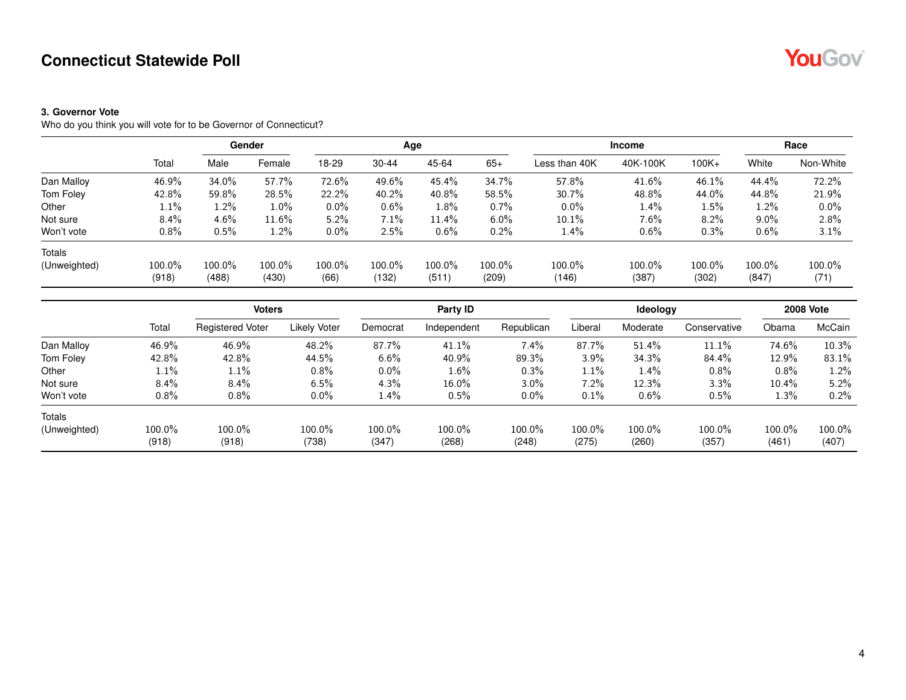#### **3. Governor Vote**

Who do you think you will vote for to be Governor of Connecticut?

|              |        |        | Gender  |         |           | Age     |         | <b>Income</b> |          |          |         | Race      |
|--------------|--------|--------|---------|---------|-----------|---------|---------|---------------|----------|----------|---------|-----------|
|              | Total  | Male   | Female  | 18-29   | $30 - 44$ | 45-64   | $65+$   | Less than 40K | 40K-100K | $100K +$ | White   | Non-White |
| Dan Malloy   | 46.9%  | 34.0%  | 57.7%   | 72.6%   | 49.6%     | 45.4%   | 34.7%   | 57.8%         | 41.6%    | 46.1%    | 44.4%   | 72.2%     |
| Tom Foley    | 42.8%  | 59.8%  | 28.5%   | 22.2%   | 40.2%     | 40.8%   | 58.5%   | 30.7%         | 48.8%    | 44.0%    | 44.8%   | 21.9%     |
| Other        | 1.1%   | 1.2%   | $1.0\%$ | $0.0\%$ | $0.6\%$   | $1.8\%$ | $0.7\%$ | $0.0\%$       | 1.4%     | 1.5%     | 1.2%    | $0.0\%$   |
| Not sure     | 8.4%   | 4.6%   | 11.6%   | 5.2%    | 7.1%      | 11.4%   | $6.0\%$ | 10.1%         | $7.6\%$  | 8.2%     | $9.0\%$ | 2.8%      |
| Won't vote   | 0.8%   | 0.5%   | $1.2\%$ | $0.0\%$ | 2.5%      | $0.6\%$ | $0.2\%$ | 1.4%          | $0.6\%$  | 0.3%     | 0.6%    | 3.1%      |
| Totals       |        |        |         |         |           |         |         |               |          |          |         |           |
| (Unweighted) | 100.0% | 100.0% | 100.0%  | 100.0%  | 100.0%    | 100.0%  | 100.0%  | 100.0%        | 100.0%   | 100.0%   | 100.0%  | 100.0%    |
|              | (918)  | (488)  | (430)   | (66)    | (132)     | (511)   | (209)   | (146)         | (387)    | (302)    | (847)   | (71)      |

|              |         | <b>Voters</b>           |              |          | Party ID    |            |         | Ideology |              |        | <b>2008 Vote</b> |
|--------------|---------|-------------------------|--------------|----------|-------------|------------|---------|----------|--------------|--------|------------------|
|              | Total   | <b>Registered Voter</b> | Likely Voter | Democrat | Independent | Republican | Liberal | Moderate | Conservative | Obama  | McCain           |
| Dan Malloy   | 46.9%   | 46.9%                   | 48.2%        | 87.7%    | 41.1%       | $7.4\%$    | 87.7%   | 51.4%    | 11.1%        | 74.6%  | 10.3%            |
| Tom Foley    | 42.8%   | 42.8%                   | 44.5%        | 6.6%     | 40.9%       | 89.3%      | 3.9%    | 34.3%    | 84.4%        | 12.9%  | 83.1%            |
| Other        | 1.1%    | $1.1\%$                 | 0.8%         | $0.0\%$  | $1.6\%$     | 0.3%       | 1.1%    | 1.4%     | 0.8%         | 0.8%   | 1.2%             |
| Not sure     | $8.4\%$ | 8.4%                    | 6.5%         | 4.3%     | 16.0%       | 3.0%       | 7.2%    | 12.3%    | 3.3%         | 10.4%  | 5.2%             |
| Won't vote   | $0.8\%$ | $0.8\%$                 | $0.0\%$      | $1.4\%$  | 0.5%        | $0.0\%$    | 0.1%    | 0.6%     | 0.5%         | 1.3%   | 0.2%             |
| Totals       |         |                         |              |          |             |            |         |          |              |        |                  |
| (Unweighted) | 100.0%  | 100.0%                  | 100.0%       | 100.0%   | 100.0%      | 100.0%     | 100.0%  | 100.0%   | 100.0%       | 100.0% | 100.0%           |
|              | (918)   | (918)                   | (738)        | (347)    | (268)       | (248)      | (275)   | (260)    | (357)        | (461)  | (407)            |



4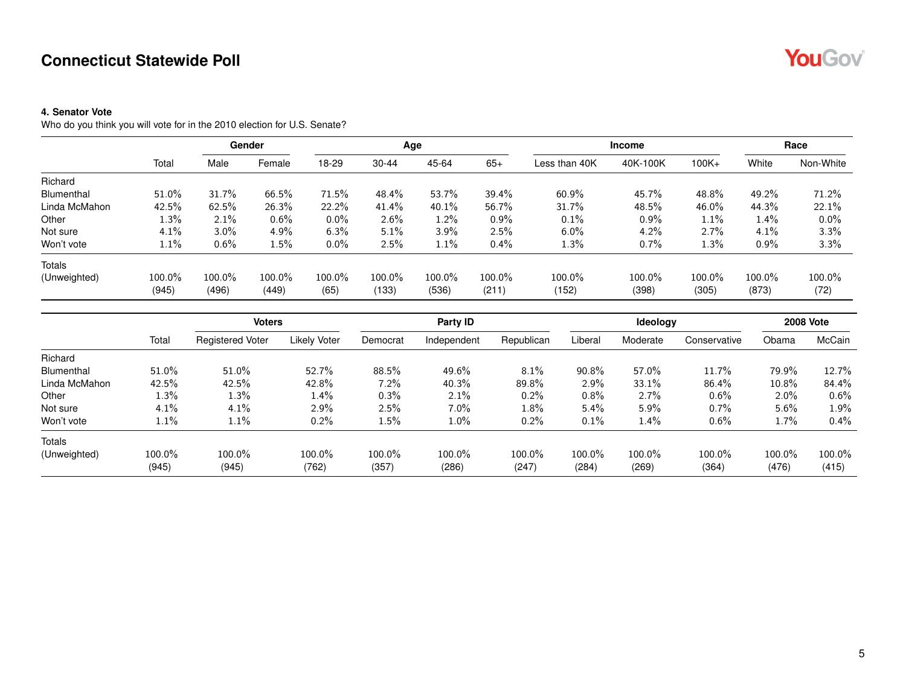#### **4. Senator Vote**

Who do you think you will vote for in the 2010 election for U.S. Senate?

|               |                 |                 | Gender          |                |                 | Age             |                 |                 | <b>Income</b>   | Race            |                 |                |
|---------------|-----------------|-----------------|-----------------|----------------|-----------------|-----------------|-----------------|-----------------|-----------------|-----------------|-----------------|----------------|
|               | Total           | Male            | Female          | 18-29          | $30 - 44$       | 45-64           | $65+$           | Less than 40K   | 40K-100K        | $100K +$        | White           | Non-White      |
| Richard       |                 |                 |                 |                |                 |                 |                 |                 |                 |                 |                 |                |
| Blumenthal    | 51.0%           | 31.7%           | 66.5%           | 71.5%          | 48.4%           | 53.7%           | 39.4%           | 60.9%           | 45.7%           | 48.8%           | 49.2%           | 71.2%          |
| Linda McMahon | 42.5%           | 62.5%           | 26.3%           | 22.2%          | 41.4%           | $40.1\%$        | 56.7%           | 31.7%           | 48.5%           | 46.0%           | 44.3%           | 22.1%          |
| Other         | 1.3%            | 2.1%            | 0.6%            | $0.0\%$        | $2.6\%$         | $1.2\%$         | $0.9\%$         | 0.1%            | $0.9\%$         | 1.1%            | 1.4%            | $0.0\%$        |
| Not sure      | 4.1%            | $3.0\%$         | 4.9%            | 6.3%           | 5.1%            | 3.9%            | 2.5%            | $6.0\%$         | 4.2%            | 2.7%            | 4.1%            | 3.3%           |
| Won't vote    | 1.1%            | 0.6%            | $1.5\%$         | $0.0\%$        | 2.5%            | $1.1\%$         | $0.4\%$         | 1.3%            | 0.7%            | 1.3%            | 0.9%            | 3.3%           |
| Totals        |                 |                 |                 |                |                 |                 |                 |                 |                 |                 |                 |                |
| (Unweighted)  | 100.0%<br>(945) | 100.0%<br>(496) | 100.0%<br>(449) | 100.0%<br>(65) | 100.0%<br>(133) | 100.0%<br>(536) | 100.0%<br>(211) | 100.0%<br>(152) | 100.0%<br>(398) | 100.0%<br>(305) | 100.0%<br>(873) | 100.0%<br>(72) |

|               |                 | <b>Voters</b>           |                     |                 | Party ID        |                 |                 | Ideology        |                 |                 | <b>2008 Vote</b> |
|---------------|-----------------|-------------------------|---------------------|-----------------|-----------------|-----------------|-----------------|-----------------|-----------------|-----------------|------------------|
|               | Total           | <b>Registered Voter</b> | <b>Likely Voter</b> | Democrat        | Independent     | Republican      | Liberal         | Moderate        | Conservative    | Obama           | McCain           |
| Richard       |                 |                         |                     |                 |                 |                 |                 |                 |                 |                 |                  |
| Blumenthal    | $51.0\%$        | 51.0%                   | 52.7%               | 88.5%           | 49.6%           | 8.1%            | 90.8%           | 57.0%           | 11.7%           | 79.9%           | 12.7%            |
| Linda McMahon | 42.5%           | 42.5%                   | 42.8%               | 7.2%            | 40.3%           | 89.8%           | 2.9%            | 33.1%           | 86.4%           | 10.8%           | 84.4%            |
| Other         | $1.3\%$         | 1.3%                    | 1.4%                | 0.3%            | 2.1%            | $0.2\%$         | 0.8%            | 2.7%            | $0.6\%$         | $2.0\%$         | $0.6\%$          |
| Not sure      | 4.1%            | 4.1%                    | 2.9%                | 2.5%            | $7.0\%$         | 1.8%            | 5.4%            | $5.9\%$         | $0.7\%$         | $5.6\%$         | $1.9\%$          |
| Won't vote    | $1.1\%$         | $1.1\%$                 | 0.2%                | $1.5\%$         | $1.0\%$         | 0.2%            | 0.1%            | 1.4%            | $0.6\%$         | $1.7\%$         | $0.4\%$          |
| <b>Totals</b> |                 |                         |                     |                 |                 |                 |                 |                 |                 |                 |                  |
| (Unweighted)  | 100.0%<br>(945) | 100.0%<br>(945)         | 100.0%<br>(762)     | 100.0%<br>(357) | 100.0%<br>(286) | 100.0%<br>(247) | 100.0%<br>(284) | 100.0%<br>(269) | 100.0%<br>(364) | 100.0%<br>(476) | 100.0%<br>(415)  |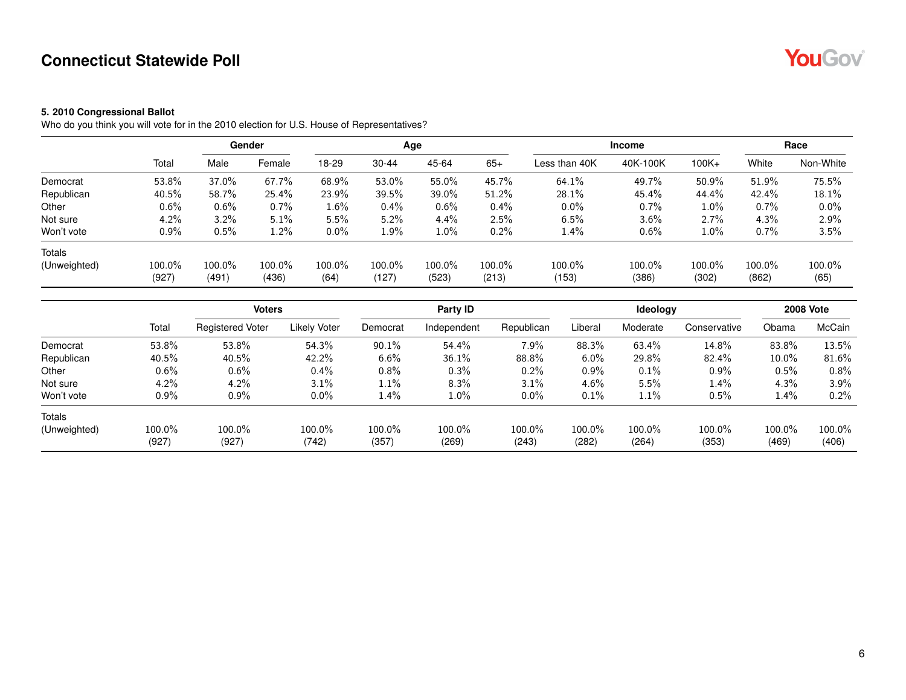#### **5. 2010 Congressional Ballot**

Who do you think you will vote for in the 2010 election for U.S. House of Representatives?

|              |                 |                 | Gender          |                |                 | Age             |                 | <b>Income</b>   |                 |                 |                 | Race           |
|--------------|-----------------|-----------------|-----------------|----------------|-----------------|-----------------|-----------------|-----------------|-----------------|-----------------|-----------------|----------------|
|              | Total           | Male            | Female          | 18-29          | $30 - 44$       | 45-64           | $65+$           | Less than 40K   | 40K-100K        | $100K +$        | White           | Non-White      |
| Democrat     | 53.8%           | 37.0%           | 67.7%           | 68.9%          | 53.0%           | 55.0%           | 45.7%           | 64.1%           | 49.7%           | 50.9%           | 51.9%           | 75.5%          |
| Republican   | 40.5%           | 58.7%           | 25.4%           | 23.9%          | 39.5%           | $39.0\%$        | 51.2%           | 28.1%           | 45.4%           | 44.4%           | 42.4%           | 18.1%          |
| Other        | $0.6\%$         | 0.6%            | $0.7\%$         | 1.6%           | $0.4\%$         | $0.6\%$         | $0.4\%$         | $0.0\%$         | 0.7%            | 1.0%            | 0.7%            | $0.0\%$        |
| Not sure     | 4.2%            | 3.2%            | 5.1%            | 5.5%           | 5.2%            | $4.4\%$         | 2.5%            | 6.5%            | 3.6%            | 2.7%            | 4.3%            | 2.9%           |
| Won't vote   | $0.9\%$         | 0.5%            | $1.2\%$         | $0.0\%$        | 1.9%            | $1.0\%$         | 0.2%            | $1.4\%$         | 0.6%            | 1.0%            | 0.7%            | 3.5%           |
| Totals       |                 |                 |                 |                |                 |                 |                 |                 |                 |                 |                 |                |
| (Unweighted) | 100.0%<br>(927) | 100.0%<br>(491) | 100.0%<br>(436) | 100.0%<br>(64) | 100.0%<br>(127) | 100.0%<br>(523) | 100.0%<br>(213) | 100.0%<br>(153) | 100.0%<br>(386) | 100.0%<br>(302) | 100.0%<br>(862) | 100.0%<br>(65) |

|              |         | <b>Voters</b>           |              |          | Party ID    |            |         | Ideology |              |          | <b>2008 Vote</b> |
|--------------|---------|-------------------------|--------------|----------|-------------|------------|---------|----------|--------------|----------|------------------|
|              | Total   | <b>Registered Voter</b> | Likely Voter | Democrat | Independent | Republican | Liberal | Moderate | Conservative | Obama    | McCain           |
| Democrat     | 53.8%   | 53.8%                   | 54.3%        | 90.1%    | 54.4%       | $7.9\%$    | 88.3%   | 63.4%    | 14.8%        | 83.8%    | 13.5%            |
| Republican   | 40.5%   | 40.5%                   | 42.2%        | $6.6\%$  | 36.1%       | 88.8%      | $6.0\%$ | 29.8%    | 82.4%        | $10.0\%$ | 81.6%            |
| Other        | $0.6\%$ | $0.6\%$                 | $0.4\%$      | $0.8\%$  | 0.3%        | 0.2%       | 0.9%    | 0.1%     | $0.9\%$      | 0.5%     | 0.8%             |
| Not sure     | 4.2%    | 4.2%                    | 3.1%         | $1.1\%$  | 8.3%        | 3.1%       | 4.6%    | 5.5%     | $1.4\%$      | 4.3%     | $3.9\%$          |
| Won't vote   | $0.9\%$ | $0.9\%$                 | $0.0\%$      | 1.4%     | $1.0\%$     | $0.0\%$    | 0.1%    | 1.1%     | 0.5%         | 1.4%     | 0.2%             |
| Totals       |         |                         |              |          |             |            |         |          |              |          |                  |
| (Unweighted) | 100.0%  | 100.0%                  | 100.0%       | 100.0%   | 100.0%      | 100.0%     | 100.0%  | 100.0%   | 100.0%       | 100.0%   | 100.0%           |
|              | (927)   | (927)                   | (742)        | (357)    | (269)       | (243)      | (282)   | (264)    | (353)        | (469)    | (406)            |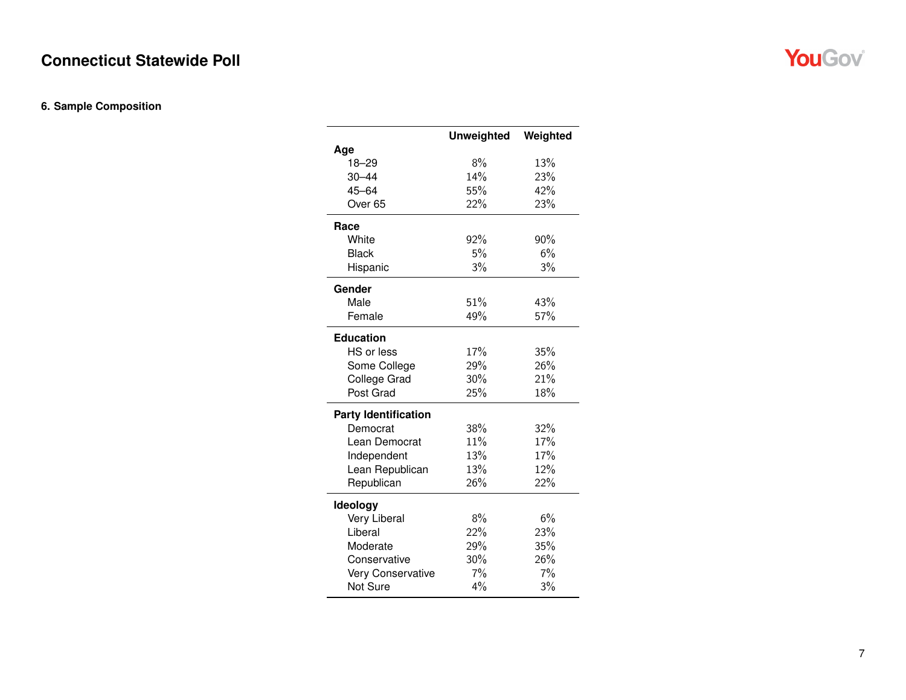#### **6. Sample Composition**

|                             | <b>Unweighted</b> | Weighted |
|-----------------------------|-------------------|----------|
| Age                         |                   |          |
| $18 - 29$                   | 8%                | 13%      |
| $30 - 44$                   | 14%               | 23%      |
| $45 - 64$                   | 55%               | 42%      |
| Over <sub>65</sub>          | 22%               | 23%      |
| Race                        |                   |          |
| White                       | 92%               | 90%      |
| <b>Black</b>                | 5%                | 6%       |
| Hispanic                    | 3%                | 3%       |
| Gender                      |                   |          |
| Male                        | 51%               | 43%      |
| Female                      | 49%               | 57%      |
|                             |                   |          |
| <b>Education</b>            |                   |          |
| HS or less                  | 17%               | 35%      |
| Some College                | 29%               | 26%      |
| <b>College Grad</b>         | 30%               | 21%      |
| Post Grad                   | 25%               | 18%      |
| <b>Party Identification</b> |                   |          |
| Democrat                    | 38%               | 32%      |
| Lean Democrat               | 11%               | 17%      |
| Independent                 | 13%               | 17%      |
| Lean Republican             | 13%               | 12%      |
| Republican                  | 26%               | 22%      |
| Ideology                    |                   |          |
| Very Liberal                | 8%                | 6%       |
| Liberal                     | 22%               | 23%      |
| Moderate                    | 29%               | 35%      |
| Conservative                | 30%               | 26%      |
| Very Conservative           | 7%                | 7%       |
| Not Sure                    | 4%                | 3%       |
|                             |                   |          |